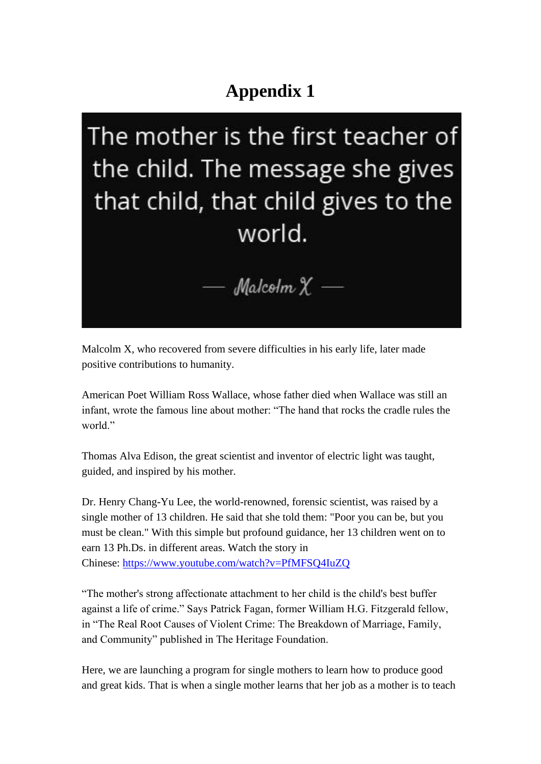## **Appendix 1**

The mother is the first teacher of the child. The message she gives that child, that child gives to the world.



Malcolm X, who recovered from severe difficulties in his early life, later made positive contributions to humanity.

American Poet William Ross Wallace, whose father died when Wallace was still an infant, wrote the famous line about mother: "The hand that rocks the cradle rules the world."

Thomas Alva Edison, the great scientist and inventor of electric light was taught, guided, and inspired by his mother.

Dr. Henry Chang-Yu Lee, the world-renowned, forensic scientist, was raised by a single mother of 13 children. He said that she told them: "Poor you can be, but you must be clean." With this simple but profound guidance, her 13 children went on to earn 13 Ph.Ds. in different areas. Watch the story in Chinese: <https://www.youtube.com/watch?v=PfMFSQ4IuZQ>

"The mother's strong affectionate attachment to her child is the child's best buffer against a life of crime." Says Patrick Fagan, former William H.G. Fitzgerald fellow, in "The Real Root Causes of Violent Crime: The Breakdown of Marriage, Family, and Community" published in The Heritage Foundation.

Here, we are launching a program for single mothers to learn how to produce good and great kids. That is when a single mother learns that her job as a mother is to teach